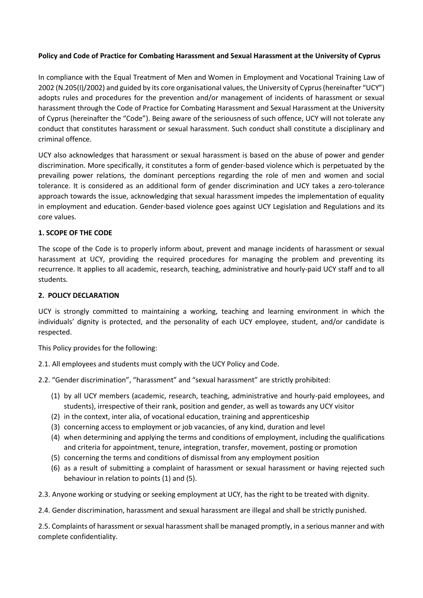# **Policy and Code of Practice for Combating Harassment and Sexual Harassment at the University of Cyprus**

In compliance with the Equal Treatment of Men and Women in Employment and Vocational Training Law of 2002 (N.205(I)/2002) and guided by its core organisational values, the University of Cyprus (hereinafter "UCY") adopts rules and procedures for the prevention and/or management of incidents of harassment or sexual harassment through the Code of Practice for Combating Harassment and Sexual Harassment at the University of Cyprus (hereinafter the "Code"). Being aware of the seriousness of such offence, UCY will not tolerate any conduct that constitutes harassment or sexual harassment. Such conduct shall constitute a disciplinary and criminal offence.

UCY also acknowledges that harassment or sexual harassment is based on the abuse of power and gender discrimination. More specifically, it constitutes a form of gender-based violence which is perpetuated by the prevailing power relations, the dominant perceptions regarding the role of men and women and social tolerance. It is considered as an additional form of gender discrimination and UCY takes a zero-tolerance approach towards the issue, acknowledging that sexual harassment impedes the implementation of equality in employment and education. Gender-based violence goes against UCY Legislation and Regulations and its core values.

# **1. SCOPE OF THE CODE**

The scope of the Code is to properly inform about, prevent and manage incidents of harassment or sexual harassment at UCY, providing the required procedures for managing the problem and preventing its recurrence. It applies to all academic, research, teaching, administrative and hourly-paid UCY staff and to all students.

## **2. POLICY DECLARATION**

UCY is strongly committed to maintaining a working, teaching and learning environment in which the individuals' dignity is protected, and the personality of each UCY employee, student, and/or candidate is respected.

This Policy provides for the following:

2.1. All employees and students must comply with the UCY Policy and Code.

2.2. "Gender discrimination", "harassment" and "sexual harassment" are strictly prohibited:

- (1) by all UCY members (academic, research, teaching, administrative and hourly-paid employees, and students), irrespective of their rank, position and gender, as well as towards any UCY visitor
- (2) in the context, inter alia, of vocational education, training and apprenticeship
- (3) concerning access to employment or job vacancies, of any kind, duration and level
- (4) when determining and applying the terms and conditions of employment, including the qualifications and criteria for appointment, tenure, integration, transfer, movement, posting or promotion
- (5) concerning the terms and conditions of dismissal from any employment position
- (6) as a result of submitting a complaint of harassment or sexual harassment or having rejected such behaviour in relation to points (1) and (5).

2.3. Anyone working or studying or seeking employment at UCY, has the right to be treated with dignity.

2.4. Gender discrimination, harassment and sexual harassment are illegal and shall be strictly punished.

2.5. Complaints of harassment or sexual harassment shall be managed promptly, in a serious manner and with complete confidentiality.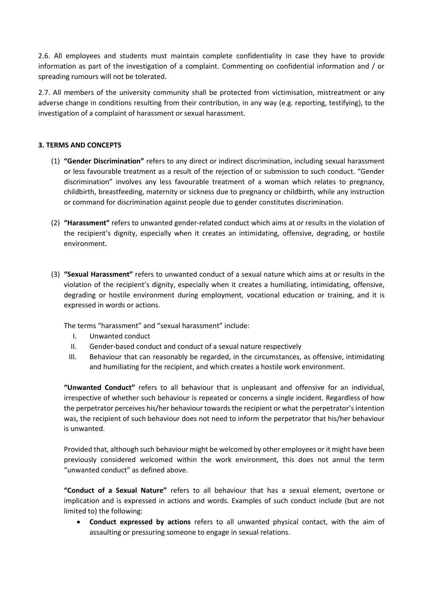2.6. All employees and students must maintain complete confidentiality in case they have to provide information as part of the investigation of a complaint. Commenting on confidential information and / or spreading rumours will not be tolerated.

2.7. All members of the university community shall be protected from victimisation, mistreatment or any adverse change in conditions resulting from their contribution, in any way (e.g. reporting, testifying), to the investigation of a complaint of harassment or sexual harassment.

# **3. TERMS AND CONCEPTS**

- (1) **"Gender Discrimination"** refers to any direct or indirect discrimination, including sexual harassment or less favourable treatment as a result of the rejection of or submission to such conduct. "Gender discrimination" involves any less favourable treatment of a woman which relates to pregnancy, childbirth, breastfeeding, maternity or sickness due to pregnancy or childbirth, while any instruction or command for discrimination against people due to gender constitutes discrimination.
- (2) **"Harassment"** refers to unwanted gender-related conduct which aims at or results in the violation of the recipient's dignity, especially when it creates an intimidating, offensive, degrading, or hostile environment.
- (3) **"Sexual Harassment"** refers to unwanted conduct of a sexual nature which aims at or results in the violation of the recipient's dignity, especially when it creates a humiliating, intimidating, offensive, degrading or hostile environment during employment, vocational education or training, and it is expressed in words or actions.

The terms "harassment" and "sexual harassment" include:

- I. Unwanted conduct
- II. Gender-based conduct and conduct of a sexual nature respectively
- III. Behaviour that can reasonably be regarded, in the circumstances, as offensive, intimidating and humiliating for the recipient, and which creates a hostile work environment.

**"Unwanted Conduct"** refers to all behaviour that is unpleasant and offensive for an individual, irrespective of whether such behaviour is repeated or concerns a single incident. Regardless of how the perpetrator perceives his/her behaviour towards the recipient or what the perpetrator's intention was, the recipient of such behaviour does not need to inform the perpetrator that his/her behaviour is unwanted.

Provided that, although such behaviour might be welcomed by other employees or it might have been previously considered welcomed within the work environment, this does not annul the term "unwanted conduct" as defined above.

**"Conduct of a Sexual Nature"** refers to all behaviour that has a sexual element, overtone or implication and is expressed in actions and words. Examples of such conduct include (but are not limited to) the following:

• **Conduct expressed by actions** refers to all unwanted physical contact, with the aim of assaulting or pressuring someone to engage in sexual relations.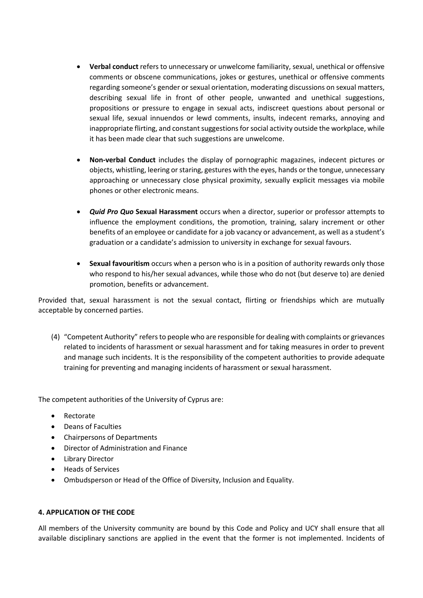- **Verbal conduct** refers to unnecessary or unwelcome familiarity, sexual, unethical or offensive comments or obscene communications, jokes or gestures, unethical or offensive comments regarding someone's gender or sexual orientation, moderating discussions on sexual matters, describing sexual life in front of other people, unwanted and unethical suggestions, propositions or pressure to engage in sexual acts, indiscreet questions about personal or sexual life, sexual innuendos or lewd comments, insults, indecent remarks, annoying and inappropriate flirting, and constant suggestions for social activity outside the workplace, while it has been made clear that such suggestions are unwelcome.
- **Non-verbal Conduct** includes the display of pornographic magazines, indecent pictures or objects, whistling, leering or staring, gestures with the eyes, hands or the tongue, unnecessary approaching or unnecessary close physical proximity, sexually explicit messages via mobile phones or other electronic means.
- *Quid Pro Quo* **Sexual Harassment** occurs when a director, superior or professor attempts to influence the employment conditions, the promotion, training, salary increment or other benefits of an employee or candidate for a job vacancy or advancement, as well as a student's graduation or a candidate's admission to university in exchange for sexual favours.
- **Sexual favouritism** occurs when a person who is in a position of authority rewards only those who respond to his/her sexual advances, while those who do not (but deserve to) are denied promotion, benefits or advancement.

Provided that, sexual harassment is not the sexual contact, flirting or friendships which are mutually acceptable by concerned parties.

(4) "Competent Authority" refers to people who are responsible for dealing with complaints or grievances related to incidents of harassment or sexual harassment and for taking measures in order to prevent and manage such incidents. It is the responsibility of the competent authorities to provide adequate training for preventing and managing incidents of harassment or sexual harassment.

The competent authorities of the University of Cyprus are:

- Rectorate
- Deans of Faculties
- Chairpersons of Departments
- Director of Administration and Finance
- Library Director
- Heads of Services
- Ombudsperson or Head of the Office of Diversity, Inclusion and Equality.

## **4. APPLICATION OF THE CODE**

All members of the University community are bound by this Code and Policy and UCY shall ensure that all available disciplinary sanctions are applied in the event that the former is not implemented. Incidents of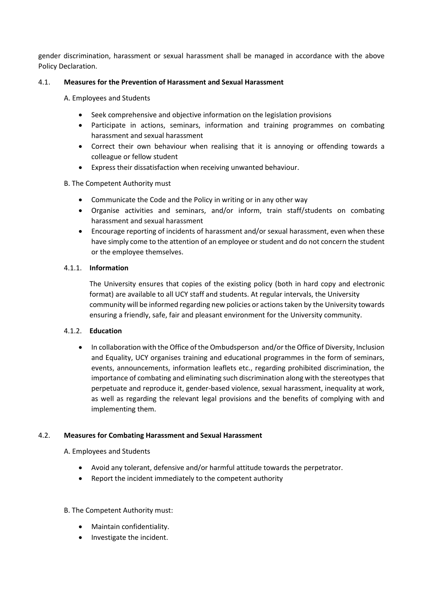gender discrimination, harassment or sexual harassment shall be managed in accordance with the above Policy Declaration.

# 4.1. **Measures for the Prevention of Harassment and Sexual Harassment**

A. Employees and Students

- Seek comprehensive and objective information on the legislation provisions
- Participate in actions, seminars, information and training programmes on combating harassment and sexual harassment
- Correct their own behaviour when realising that it is annoying or offending towards a colleague or fellow student
- Express their dissatisfaction when receiving unwanted behaviour.

## B. The Competent Authority must

- Communicate the Code and the Policy in writing or in any other way
- Organise activities and seminars, and/or inform, train staff/students on combating harassment and sexual harassment
- Encourage reporting of incidents of harassment and/or sexual harassment, even when these have simply come to the attention of an employee or student and do not concern the student or the employee themselves.

## 4.1.1. **Information**

The University ensures that copies of the existing policy (both in hard copy and electronic format) are available to all UCY staff and students. At regular intervals, the University community will be informed regarding new policies or actions taken by the University towards ensuring a friendly, safe, fair and pleasant environment for the University community.

## 4.1.2. **Education**

• In collaboration with the Office of the Ombudsperson and/or the Office of Diversity, Inclusion and Equality, UCY organises training and educational programmes in the form of seminars, events, announcements, information leaflets etc., regarding prohibited discrimination, the importance of combating and eliminating such discrimination along with the stereotypes that perpetuate and reproduce it, gender-based violence, sexual harassment, inequality at work, as well as regarding the relevant legal provisions and the benefits of complying with and implementing them.

## 4.2. **Measures for Combating Harassment and Sexual Harassment**

A. Employees and Students

- Avoid any tolerant, defensive and/or harmful attitude towards the perpetrator.
- Report the incident immediately to the competent authority

## B. The Competent Authority must:

- Maintain confidentiality.
- Investigate the incident.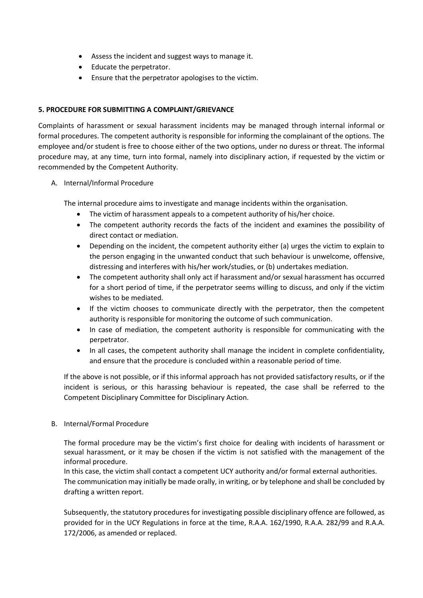- Assess the incident and suggest ways to manage it.
- Educate the perpetrator.
- Ensure that the perpetrator apologises to the victim.

## **5. PROCEDURE FOR SUBMITTING A COMPLAINT/GRIEVANCE**

Complaints of harassment or sexual harassment incidents may be managed through internal informal or formal procedures. The competent authority is responsible for informing the complainant of the options. The employee and/or student is free to choose either of the two options, under no duress or threat. The informal procedure may, at any time, turn into formal, namely into disciplinary action, if requested by the victim or recommended by the Competent Authority.

## A. Internal/Informal Procedure

The internal procedure aims to investigate and manage incidents within the organisation.

- The victim of harassment appeals to a competent authority of his/her choice.
- The competent authority records the facts of the incident and examines the possibility of direct contact or mediation.
- Depending on the incident, the competent authority either (a) urges the victim to explain to the person engaging in the unwanted conduct that such behaviour is unwelcome, offensive, distressing and interferes with his/her work/studies, or (b) undertakes mediation.
- The competent authority shall only act if harassment and/or sexual harassment has occurred for a short period of time, if the perpetrator seems willing to discuss, and only if the victim wishes to be mediated.
- If the victim chooses to communicate directly with the perpetrator, then the competent authority is responsible for monitoring the outcome of such communication.
- In case of mediation, the competent authority is responsible for communicating with the perpetrator.
- In all cases, the competent authority shall manage the incident in complete confidentiality, and ensure that the procedure is concluded within a reasonable period of time.

If the above is not possible, or if this informal approach has not provided satisfactory results, or if the incident is serious, or this harassing behaviour is repeated, the case shall be referred to the Competent Disciplinary Committee for Disciplinary Action.

## B. Internal/Formal Procedure

The formal procedure may be the victim's first choice for dealing with incidents of harassment or sexual harassment, or it may be chosen if the victim is not satisfied with the management of the informal procedure.

In this case, the victim shall contact a competent UCY authority and/or formal external authorities. The communication may initially be made orally, in writing, or by telephone and shall be concluded by drafting a written report.

Subsequently, the statutory procedures for investigating possible disciplinary offence are followed, as provided for in the UCY Regulations in force at the time, R.A.A. 162/1990, R.A.A. 282/99 and R.A.A. 172/2006, as amended or replaced.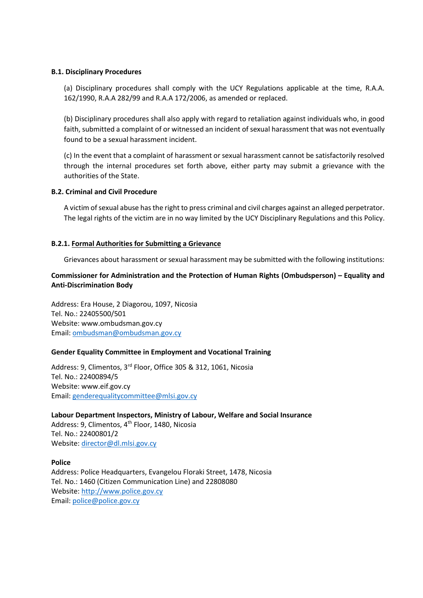## **B.1. Disciplinary Procedures**

(a) Disciplinary procedures shall comply with the UCY Regulations applicable at the time, R.A.A. 162/1990, R.A.A 282/99 and R.A.A 172/2006, as amended or replaced.

(b) Disciplinary procedures shall also apply with regard to retaliation against individuals who, in good faith, submitted a complaint of or witnessed an incident of sexual harassment that was not eventually found to be a sexual harassment incident.

(c) In the event that a complaint of harassment or sexual harassment cannot be satisfactorily resolved through the internal procedures set forth above, either party may submit a grievance with the authorities of the State.

## **B.2. Criminal and Civil Procedure**

A victim of sexual abuse has the right to press criminal and civil charges against an alleged perpetrator. The legal rights of the victim are in no way limited by the UCY Disciplinary Regulations and this Policy.

## **B.2.1. Formal Authorities for Submitting a Grievance**

Grievances about harassment or sexual harassment may be submitted with the following institutions:

# **Commissioner for Administration and the Protection of Human Rights (Ombudsperson) – Equality and Anti-Discrimination Body**

Address: Era House, 2 Diagorou, 1097, Nicosia Tel. No.: 22405500/501 Website: www.ombudsman.gov.cy Email: [ombudsman@ombudsman.gov.cy](mailto:ombudsman@ombudsman.gov.cy)

## **Gender Equality Committee in Employment and Vocational Training**

Address: 9, Climentos, 3<sup>rd</sup> Floor, Office 305 & 312, 1061, Nicosia Tel. No.: 22400894/5 Website: www.eif.gov.cy Email: [genderequalitycommittee@mlsi.gov.cy](mailto:genderequalitycommittee@mlsi.gov.cy)

**Labour Department Inspectors, Ministry of Labour, Welfare and Social Insurance** Address: 9, Climentos, 4<sup>th</sup> Floor, 1480, Nicosia Tel. No.: 22400801/2 Website[: director@dl.mlsi.gov.cy](mailto:director@dl.mlsi.gov.cy)

## **Police**

Address: Police Headquarters, Evangelou Floraki Street, 1478, Nicosia Tel. No.: 1460 (Citizen Communication Line) and 22808080 Website[: http://www.police.gov.cy](http://www.police.gov.cy/) Email: [police@police.gov.cy](mailto:police@police.gov.cy)